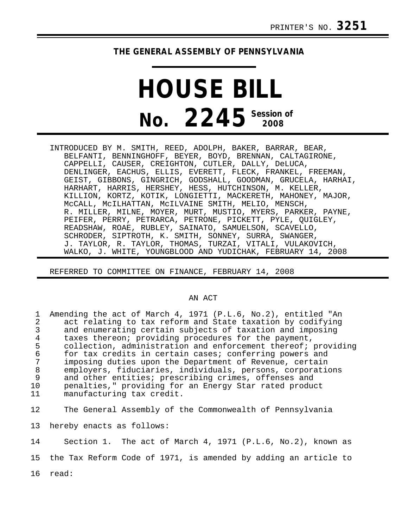## **THE GENERAL ASSEMBLY OF PENNSYLVANIA**

## **HOUSE BILL No.** 2245<sup> Session of</sup>

INTRODUCED BY M. SMITH, REED, ADOLPH, BAKER, BARRAR, BEAR, BELFANTI, BENNINGHOFF, BEYER, BOYD, BRENNAN, CALTAGIRONE, CAPPELLI, CAUSER, CREIGHTON, CUTLER, DALLY, DeLUCA, DENLINGER, EACHUS, ELLIS, EVERETT, FLECK, FRANKEL, FREEMAN, GEIST, GIBBONS, GINGRICH, GODSHALL, GOODMAN, GRUCELA, HARHAI, HARHART, HARRIS, HERSHEY, HESS, HUTCHINSON, M. KELLER, KILLION, KORTZ, KOTIK, LONGIETTI, MACKERETH, MAHONEY, MAJOR, McCALL, McILHATTAN, McILVAINE SMITH, MELIO, MENSCH, R. MILLER, MILNE, MOYER, MURT, MUSTIO, MYERS, PARKER, PAYNE, PEIFER, PERRY, PETRARCA, PETRONE, PICKETT, PYLE, QUIGLEY, READSHAW, ROAE, RUBLEY, SAINATO, SAMUELSON, SCAVELLO, SCHRODER, SIPTROTH, K. SMITH, SONNEY, SURRA, SWANGER, J. TAYLOR, R. TAYLOR, THOMAS, TURZAI, VITALI, VULAKOVICH, WALKO, J. WHITE, YOUNGBLOOD AND YUDICHAK, FEBRUARY 14, 2008

REFERRED TO COMMITTEE ON FINANCE, FEBRUARY 14, 2008

## AN ACT

| 1<br>2<br>3<br>4<br>5<br>$\epsilon$<br>7<br>8<br>9<br>10<br>11 | Amending the act of March 4, 1971 (P.L.6, No.2), entitled "An<br>act relating to tax reform and State taxation by codifying<br>and enumerating certain subjects of taxation and imposing<br>taxes thereon; providing procedures for the payment,<br>collection, administration and enforcement thereof; providing<br>for tax credits in certain cases; conferring powers and<br>imposing duties upon the Department of Revenue, certain<br>employers, fiduciaries, individuals, persons, corporations<br>and other entities; prescribing crimes, offenses and<br>penalties," providing for an Energy Star rated product<br>manufacturing tax credit. |
|----------------------------------------------------------------|------------------------------------------------------------------------------------------------------------------------------------------------------------------------------------------------------------------------------------------------------------------------------------------------------------------------------------------------------------------------------------------------------------------------------------------------------------------------------------------------------------------------------------------------------------------------------------------------------------------------------------------------------|
| 12 <sub>1</sub>                                                | The General Assembly of the Commonwealth of Pennsylvania                                                                                                                                                                                                                                                                                                                                                                                                                                                                                                                                                                                             |
| 13                                                             | hereby enacts as follows:                                                                                                                                                                                                                                                                                                                                                                                                                                                                                                                                                                                                                            |
| 14                                                             | Section 1. The act of March 4, 1971 (P.L.6, No.2), known as                                                                                                                                                                                                                                                                                                                                                                                                                                                                                                                                                                                          |
| 15                                                             | the Tax Reform Code of 1971, is amended by adding an article to                                                                                                                                                                                                                                                                                                                                                                                                                                                                                                                                                                                      |
|                                                                | 16 read:                                                                                                                                                                                                                                                                                                                                                                                                                                                                                                                                                                                                                                             |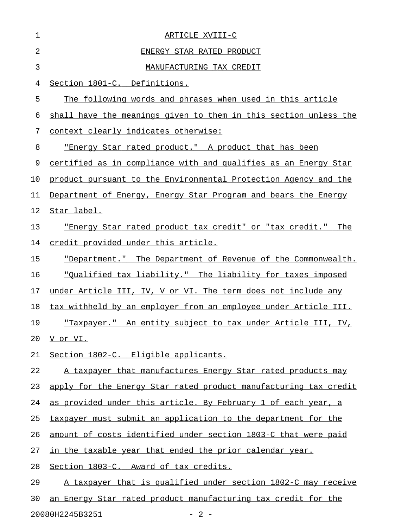| 1  | ARTICLE XVIII-C                                                       |
|----|-----------------------------------------------------------------------|
| 2  | ENERGY STAR RATED PRODUCT                                             |
| 3  | MANUFACTURING TAX CREDIT                                              |
| 4  | Section 1801-C. Definitions.                                          |
| 5  | The following words and phrases when used in this article             |
| 6  | shall have the meanings given to them in this section unless the      |
| 7  | context clearly indicates otherwise:                                  |
| 8  | "Energy Star rated product." A product that has been                  |
| 9  | certified as in compliance with and qualifies as an Energy Star       |
| 10 | product pursuant to the Environmental Protection Agency and the       |
| 11 | Department of Energy, Energy Star Program and bears the Energy        |
| 12 | Star label.                                                           |
| 13 | <u>"Energy Star rated product tax credit" or "tax credit."</u><br>The |
| 14 | credit provided under this article.                                   |
| 15 | "Department." The Department of Revenue of the Commonwealth.          |
| 16 | <u>"Oualified tax liability." The liability for taxes imposed</u>     |
| 17 | under Article III, IV, V or VI. The term does not include any         |
| 18 | tax withheld by an employer from an employee under Article III.       |
| 19 | "Taxpayer." An entity subject to tax under Article III, IV,           |
| 20 | V or VI.                                                              |
| 21 | Section 1802-C. Eligible applicants.                                  |
| 22 | A taxpayer that manufactures Energy Star rated products may           |
| 23 | apply for the Energy Star rated product manufacturing tax credit      |
| 24 | as provided under this article. By February 1 of each year, a         |
| 25 | taxpayer must submit an application to the department for the         |
| 26 | amount of costs identified under section 1803-C that were paid        |
| 27 | in the taxable year that ended the prior calendar year.               |
| 28 | Section 1803-C. Award of tax credits.                                 |
| 29 | A taxpayer that is qualified under section 1802-C may receive         |
| 30 | an Energy Star rated product manufacturing tax credit for the         |
|    |                                                                       |

20080H2245B3251 - 2 -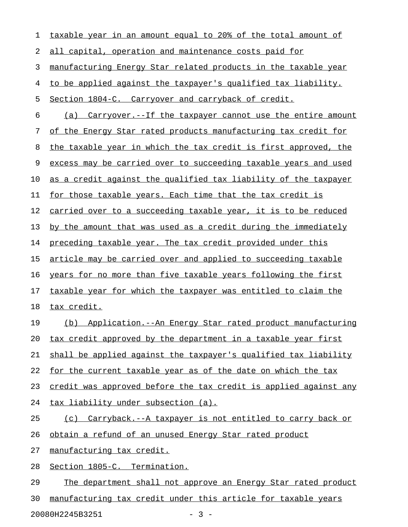| 1  | taxable year in an amount equal to 20% of the total amount of        |
|----|----------------------------------------------------------------------|
| 2  | all capital, operation and maintenance costs paid for                |
| 3  | manufacturing Energy Star related products in the taxable year       |
| 4  | to be applied against the taxpayer's qualified tax liability.        |
| 5  | Section 1804-C. Carryover and carryback of credit.                   |
| 6  | <u>(a) Carryover.--If the taxpayer cannot use the entire amount</u>  |
| 7  | of the Energy Star rated products manufacturing tax credit for       |
| 8  | the taxable year in which the tax credit is first approved, the      |
| 9  | excess may be carried over to succeeding taxable years and used      |
| 10 | as a credit against the qualified tax liability of the taxpayer      |
| 11 | for those taxable years. Each time that the tax credit is            |
| 12 | carried over to a succeeding taxable year, it is to be reduced       |
| 13 | by the amount that was used as a credit during the immediately       |
| 14 | preceding taxable year. The tax credit provided under this           |
| 15 | <u>article may be carried over and applied to succeeding taxable</u> |
| 16 | years for no more than five taxable years following the first        |
| 17 | <u>taxable year for which the taxpayer was entitled to claim the</u> |
| 18 | tax credit.                                                          |
| 19 | (b) Application.--An Energy Star rated product manufacturing         |
| 20 | tax credit approved by the department in a taxable year first        |
| 21 | shall be applied against the taxpayer's qualified tax liability      |
| 22 | for the current taxable year as of the date on which the tax         |
| 23 | credit was approved before the tax credit is applied against any     |
| 24 | tax liability under subsection (a).                                  |
| 25 | Carryback.--A taxpayer is not entitled to carry back or<br>(c)       |
| 26 | obtain a refund of an unused Energy Star rated product               |
| 27 | manufacturing tax credit.                                            |
| 28 | Section 1805-C. Termination.                                         |
| 29 | The department shall not approve an Energy Star rated product        |
| 30 | manufacturing tax credit under this article for taxable years        |

20080H2245B3251 - 3 -